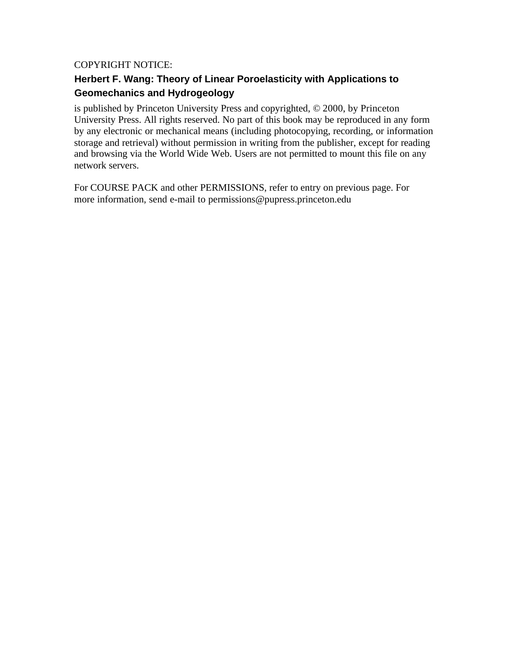# COPYRIGHT NOTICE:

# **Geomechanics and Hydrogeology Herbert F. Wang: Theory of Linear Poroelasticity with Applications to**

University Press. All rights reserved. No part of this book may be reproduced in any form by any electronic or mechanical means (including photocopying, recording, or information storage and retrieval) without permission in writing from the publisher, except for reading and browsing via the World Wide Web. Users are not permitted to mount this file on any network servers. is published by Princeton University Press and copyrighted, © 2000, by Princeton

For COURSE PACK and other PERMISSIONS, refer to entry on previous page. For more information, send e-mail to permissions@pupress.princeton.edu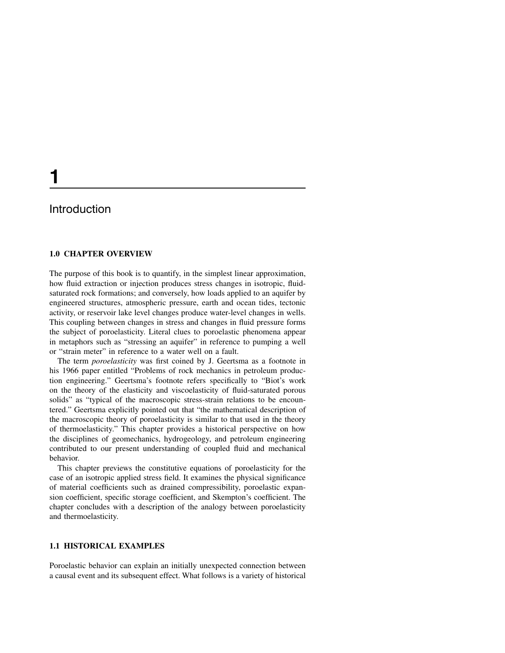# Introduction

#### **1.0 CHAPTER OVERVIEW**

The purpose of this book is to quantify, in the simplest linear approximation, how fluid extraction or injection produces stress changes in isotropic, fluidsaturated rock formations; and conversely, how loads applied to an aquifer by engineered structures, atmospheric pressure, earth and ocean tides, tectonic activity, or reservoir lake level changes produce water-level changes in wells. This coupling between changes in stress and changes in fluid pressure forms the subject of poroelasticity. Literal clues to poroelastic phenomena appear in metaphors such as "stressing an aquifer" in reference to pumping a well or "strain meter" in reference to a water well on a fault.

The term poroelasticity was first coined by J. Geertsma as a footnote in his 1966 paper entitled "Problems of rock mechanics in petroleum production engineering." Geertsma's footnote refers specifically to "Biot's work on the theory of the elasticity and viscoelasticity of fluid-saturated porous solids" as "typical of the macroscopic stress-strain relations to be encountered." Geertsma explicitly pointed out that "the mathematical description of the macroscopic theory of poroelasticity is similar to that used in the theory of thermoelasticity." This chapter provides a historical perspective on how the disciplines of geomechanics, hydrogeology, and petroleum engineering contributed to our present understanding of coupled fluid and mechanical behavior.

This chapter previews the constitutive equations of poroelasticity for the case of an isotropic applied stress field. It examines the physical significance of material coefficients such as drained compressibility, poroelastic expansion coefficient, specific storage coefficient, and Skempton's coefficient. The chapter concludes with a description of the analogy between poroelasticity and thermoelasticity.

### **1.1 HISTORICAL EXAMPLES**

Poroelastic behavior can explain an initially unexpected connection between a causal event and its subsequent effect. What follows is a variety of historical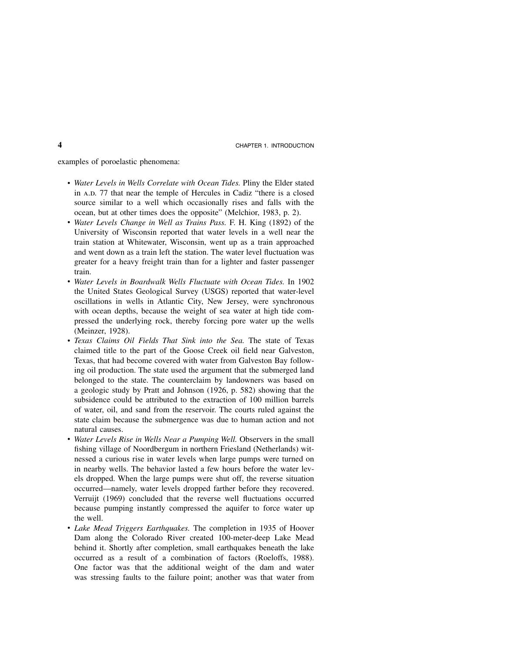examples of poroelastic phenomena:

- Water Levels in Wells Correlate with Ocean Tides. Pliny the Elder stated in A.D. 77 that near the temple of Hercules in Cadiz "there is a closed source similar to a well which occasionally rises and falls with the ocean, but at other times does the opposite" (Melchior, 1983, p. 2).
- Water Levels Change in Well as Trains Pass. F. H. King (1892) of the University of Wisconsin reported that water levels in a well near the train station at Whitewater, Wisconsin, went up as a train approached and went down as a train left the station. The water level fluctuation was greater for a heavy freight train than for a lighter and faster passenger train.
- Water Levels in Boardwalk Wells Fluctuate with Ocean Tides. In 1902 the United States Geological Survey (USGS) reported that water-level oscillations in wells in Atlantic City, New Jersey, were synchronous with ocean depths, because the weight of sea water at high tide compressed the underlying rock, thereby forcing pore water up the wells (Meinzer, 1928).
- Texas Claims Oil Fields That Sink into the Sea. The state of Texas claimed title to the part of the Goose Creek oil field near Galveston, Texas, that had become covered with water from Galveston Bay following oil production. The state used the argument that the submerged land belonged to the state. The counterclaim by landowners was based on a geologic study by Pratt and Johnson (1926, p. 582) showing that the subsidence could be attributed to the extraction of 100 million barrels of water, oil, and sand from the reservoir. The courts ruled against the state claim because the submergence was due to human action and not natural causes.
- Water Levels Rise in Wells Near a Pumping Well. Observers in the small fishing village of Noordbergum in northern Friesland (Netherlands) witnessed a curious rise in water levels when large pumps were turned on in nearby wells. The behavior lasted a few hours before the water levels dropped. When the large pumps were shut off, the reverse situation occurred—namely, water levels dropped farther before they recovered. Verruijt (1969) concluded that the reverse well fluctuations occurred because pumping instantly compressed the aquifer to force water up the well.
- Lake Mead Triggers Earthquakes. The completion in 1935 of Hoover Dam along the Colorado River created 100-meter-deep Lake Mead behind it. Shortly after completion, small earthquakes beneath the lake occurred as a result of a combination of factors (Roeloffs, 1988). One factor was that the additional weight of the dam and water was stressing faults to the failure point; another was that water from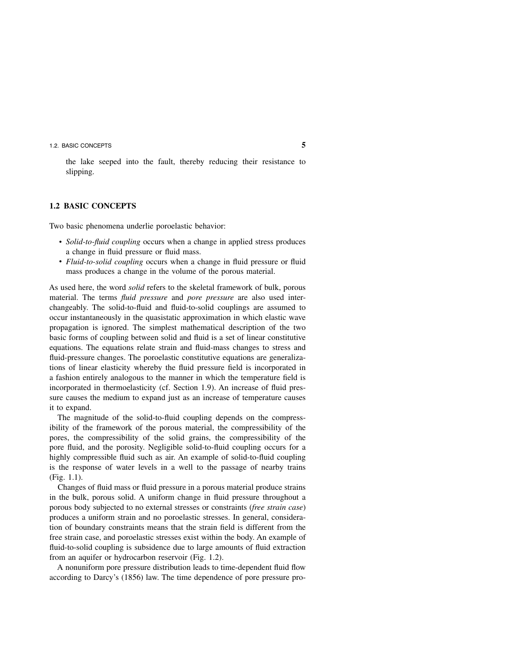the lake seeped into the fault, thereby reducing their resistance to slipping.

#### **1.2 BASIC CONCEPTS**

Two basic phenomena underlie poroelastic behavior:

- Solid-to-fluid coupling occurs when a change in applied stress produces a change in fluid pressure or fluid mass.
- Fluid-to-solid coupling occurs when a change in fluid pressure or fluid mass produces a change in the volume of the porous material.

As used here, the word solid refers to the skeletal framework of bulk, porous material. The terms *fluid pressure* and *pore pressure* are also used interchangeably. The solid-to-fluid and fluid-to-solid couplings are assumed to occur instantaneously in the quasistatic approximation in which elastic wave propagation is ignored. The simplest mathematical description of the two basic forms of coupling between solid and fluid is a set of linear constitutive equations. The equations relate strain and fluid-mass changes to stress and fluid-pressure changes. The poroelastic constitutive equations are generalizations of linear elasticity whereby the fluid pressure field is incorporated in a fashion entirely analogous to the manner in which the temperature field is incorporated in thermoelasticity (cf. Section 1.9). An increase of fluid pressure causes the medium to expand just as an increase of temperature causes it to expand.

The magnitude of the solid-to-fluid coupling depends on the compressibility of the framework of the porous material, the compressibility of the pores, the compressibility of the solid grains, the compressibility of the pore fluid, and the porosity. Negligible solid-to-fluid coupling occurs for a highly compressible fluid such as air. An example of solid-to-fluid coupling is the response of water levels in a well to the passage of nearby trains (Fig. 1.1).

Changes of fluid mass or fluid pressure in a porous material produce strains in the bulk, porous solid. A uniform change in fluid pressure throughout a porous body subjected to no external stresses or constraints (free strain case) produces a uniform strain and no poroelastic stresses. In general, consideration of boundary constraints means that the strain field is different from the free strain case, and poroelastic stresses exist within the body. An example of fluid-to-solid coupling is subsidence due to large amounts of fluid extraction from an aquifer or hydrocarbon reservoir (Fig. 1.2).

A nonuniform pore pressure distribution leads to time-dependent fluid flow according to Darcy's (1856) law. The time dependence of pore pressure pro-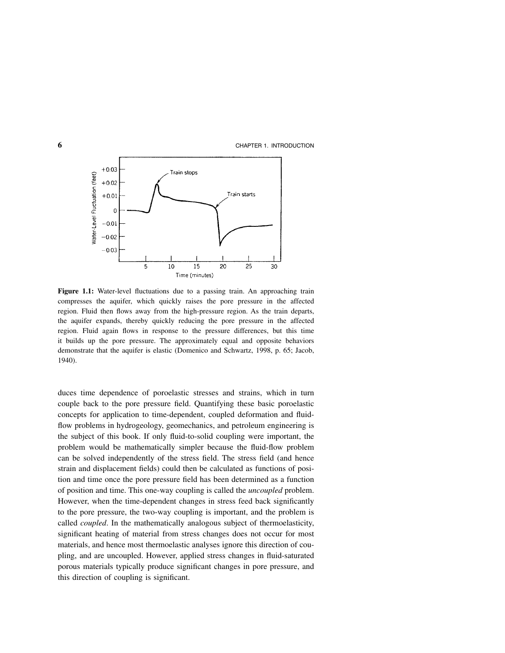

Figure 1.1: Water-level fluctuations due to a passing train. An approaching train compresses the aquifer, which quickly raises the pore pressure in the affected region. Fluid then flows away from the high-pressure region. As the train departs, the aquifer expands, thereby quickly reducing the pore pressure in the affected region. Fluid again flows in response to the pressure differences, but this time it builds up the pore pressure. The approximately equal and opposite behaviors demonstrate that the aquifer is elastic (Domenico and Schwartz, 1998, p. 65; Jacob, 1940).

duces time dependence of poroelastic stresses and strains, which in turn couple back to the pore pressure field. Quantifying these basic poroelastic concepts for application to time-dependent, coupled deformation and fluidflow problems in hydrogeology, geomechanics, and petroleum engineering is the subject of this book. If only fluid-to-solid coupling were important, the problem would be mathematically simpler because the fluid-flow problem can be solved independently of the stress field. The stress field (and hence strain and displacement fields) could then be calculated as functions of position and time once the pore pressure field has been determined as a function of position and time. This one-way coupling is called the uncoupled problem. However, when the time-dependent changes in stress feed back significantly to the pore pressure, the two-way coupling is important, and the problem is called coupled. In the mathematically analogous subject of thermoelasticity, significant heating of material from stress changes does not occur for most materials, and hence most thermoelastic analyses ignore this direction of coupling, and are uncoupled. However, applied stress changes in fluid-saturated porous materials typically produce significant changes in pore pressure, and this direction of coupling is significant.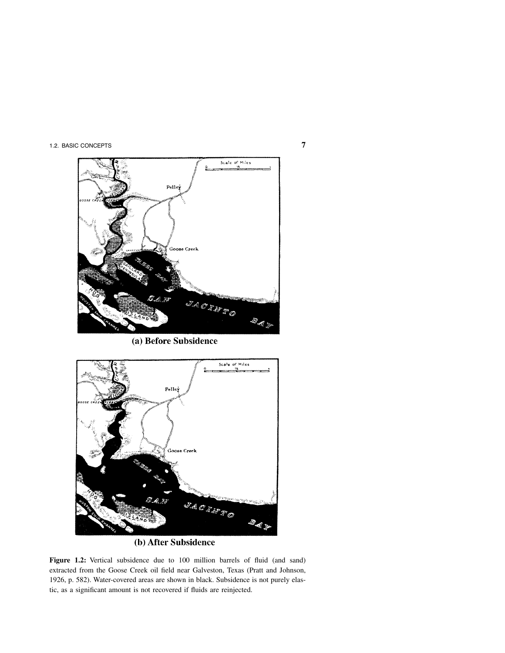

(a) Before Subsidence



## (b) After Subsidence

**Figure 1.2:** Vertical subsidence due to 100 million barrels of fluid (and sand) extracted from the Goose Creek oil field near Galveston, Texas (Pratt and Johnson, 1926, p. 582). Water-covered areas are shown in black. Subsidence is not purely elastic, as a significant amount is not recovered if fluids are reinjected.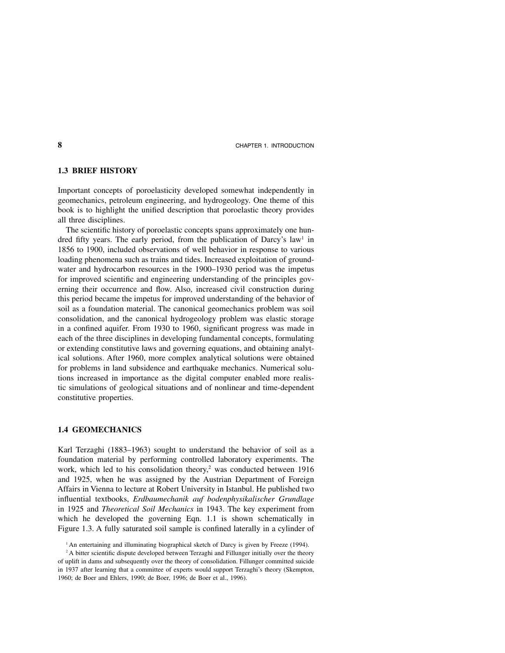#### **1.3 BRIEF HISTORY**

Important concepts of poroelasticity developed somewhat independently in geomechanics, petroleum engineering, and hydrogeology. One theme of this book is to highlight the unified description that poroelastic theory provides all three disciplines.

The scientific history of poroelastic concepts spans approximately one hundred fifty years. The early period, from the publication of Darcy's law<sup>1</sup> in 1856 to 1900, included observations of well behavior in response to various loading phenomena such as trains and tides. Increased exploitation of groundwater and hydrocarbon resources in the 1900–1930 period was the impetus for improved scientific and engineering understanding of the principles governing their occurrence and flow. Also, increased civil construction during this period became the impetus for improved understanding of the behavior of soil as a foundation material. The canonical geomechanics problem was soil consolidation, and the canonical hydrogeology problem was elastic storage in a confined aquifer. From 1930 to 1960, significant progress was made in each of the three disciplines in developing fundamental concepts, formulating or extending constitutive laws and governing equations, and obtaining analytical solutions. After 1960, more complex analytical solutions were obtained for problems in land subsidence and earthquake mechanics. Numerical solutions increased in importance as the digital computer enabled more realistic simulations of geological situations and of nonlinear and time-dependent constitutive properties.

#### **1.4 GEOMECHANICS**

Karl Terzaghi (1883–1963) sought to understand the behavior of soil as a foundation material by performing controlled laboratory experiments. The work, which led to his consolidation theory, $2$  was conducted between 1916 and 1925, when he was assigned by the Austrian Department of Foreign Affairs in Vienna to lecture at Robert University in Istanbul. He published two influential textbooks, Erdbaumechanik auf bodenphysikalischer Grundlage in 1925 and Theoretical Soil Mechanics in 1943. The key experiment from which he developed the governing Eqn. 1.1 is shown schematically in Figure 1.3. A fully saturated soil sample is confined laterally in a cylinder of

<sup>&</sup>lt;sup>1</sup> An entertaining and illuminating biographical sketch of Darcy is given by Freeze (1994).

<sup>&</sup>lt;sup>2</sup> A bitter scientific dispute developed between Terzaghi and Fillunger initially over the theory of uplift in dams and subsequently over the theory of consolidation. Fillunger committed suicide in 1937 after learning that a committee of experts would support Terzaghi's theory (Skempton, 1960; de Boer and Ehlers, 1990; de Boer, 1996; de Boer et al., 1996).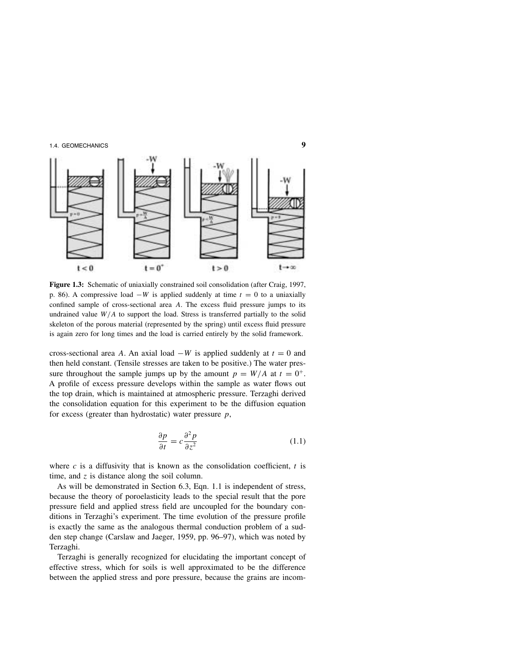

**Figure 1.3:** Schematic of uniaxially constrained soil consolidation (after Craig, 1997, p. 86). A compressive load  $-W$  is applied suddenly at time  $t = 0$  to a uniaxially confined sample of cross-sectional area A. The excess fluid pressure jumps to its undrained value  $W/A$  to support the load. Stress is transferred partially to the solid skeleton of the porous material (represented by the spring) until excess fluid pressure is again zero for long times and the load is carried entirely by the solid framework.

cross-sectional area A. An axial load  $-W$  is applied suddenly at  $t = 0$  and then held constant. (Tensile stresses are taken to be positive.) The water pressure throughout the sample jumps up by the amount  $p = W/A$  at  $t = 0^{+}$ . A profile of excess pressure develops within the sample as water flows out the top drain, which is maintained at atmospheric pressure. Terzaghi derived the consolidation equation for this experiment to be the diffusion equation for excess (greater than hydrostatic) water pressure  $p$ ,

$$
\frac{\partial p}{\partial t} = c \frac{\partial^2 p}{\partial z^2} \tag{1.1}
$$

where  $c$  is a diffusivity that is known as the consolidation coefficient,  $t$  is time, and  $z$  is distance along the soil column.

As will be demonstrated in Section 6.3, Eqn. 1.1 is independent of stress, because the theory of poroelasticity leads to the special result that the pore pressure field and applied stress field are uncoupled for the boundary conditions in Terzaghi's experiment. The time evolution of the pressure profile is exactly the same as the analogous thermal conduction problem of a sudden step change (Carslaw and Jaeger, 1959, pp. 96–97), which was noted by Terzaghi.

Terzaghi is generally recognized for elucidating the important concept of effective stress, which for soils is well approximated to be the difference between the applied stress and pore pressure, because the grains are incom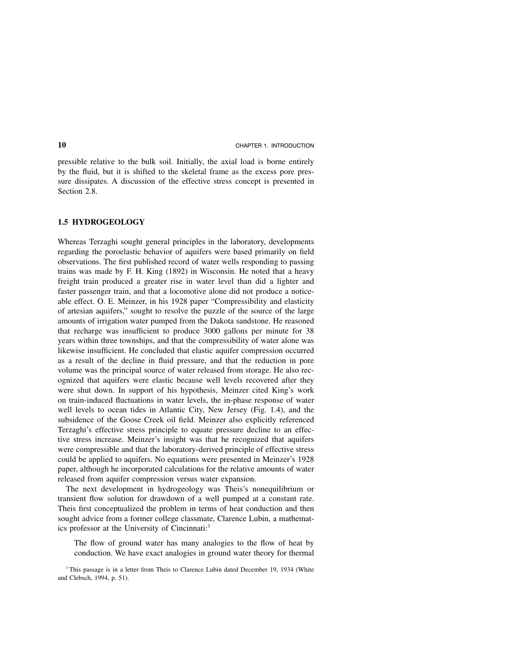pressible relative to the bulk soil. Initially, the axial load is borne entirely by the fluid, but it is shifted to the skeletal frame as the excess pore pressure dissipates. A discussion of the effective stress concept is presented in Section 2.8.

#### **1.5 HYDROGEOLOGY**

Whereas Terzaghi sought general principles in the laboratory, developments regarding the poroelastic behavior of aquifers were based primarily on field observations. The first published record of water wells responding to passing trains was made by F. H. King (1892) in Wisconsin. He noted that a heavy freight train produced a greater rise in water level than did a lighter and faster passenger train, and that a locomotive alone did not produce a noticeable effect. O. E. Meinzer, in his 1928 paper "Compressibility and elasticity of artesian aquifers," sought to resolve the puzzle of the source of the large amounts of irrigation water pumped from the Dakota sandstone. He reasoned that recharge was insufficient to produce 3000 gallons per minute for 38 years within three townships, and that the compressibility of water alone was likewise insufficient. He concluded that elastic aquifer compression occurred as a result of the decline in fluid pressure, and that the reduction in pore volume was the principal source of water released from storage. He also recognized that aquifers were elastic because well levels recovered after they were shut down. In support of his hypothesis, Meinzer cited King's work on train-induced fluctuations in water levels, the in-phase response of water well levels to ocean tides in Atlantic City, New Jersey (Fig. 1.4), and the subsidence of the Goose Creek oil field. Meinzer also explicitly referenced Terzaghi's effective stress principle to equate pressure decline to an effective stress increase. Meinzer's insight was that he recognized that aquifers were compressible and that the laboratory-derived principle of effective stress could be applied to aquifers. No equations were presented in Meinzer's 1928 paper, although he incorporated calculations for the relative amounts of water released from aquifer compression versus water expansion.

The next development in hydrogeology was Theis's nonequilibrium or transient flow solution for drawdown of a well pumped at a constant rate. Theis first conceptualized the problem in terms of heat conduction and then sought advice from a former college classmate, Clarence Lubin, a mathematics professor at the University of Cincinnati:3

The flow of ground water has many analogies to the flow of heat by conduction. We have exact analogies in ground water theory for thermal

<sup>&</sup>lt;sup>3</sup> This passage is in a letter from Theis to Clarence Lubin dated December 19, 1934 (White and Clebsch, 1994, p. 51).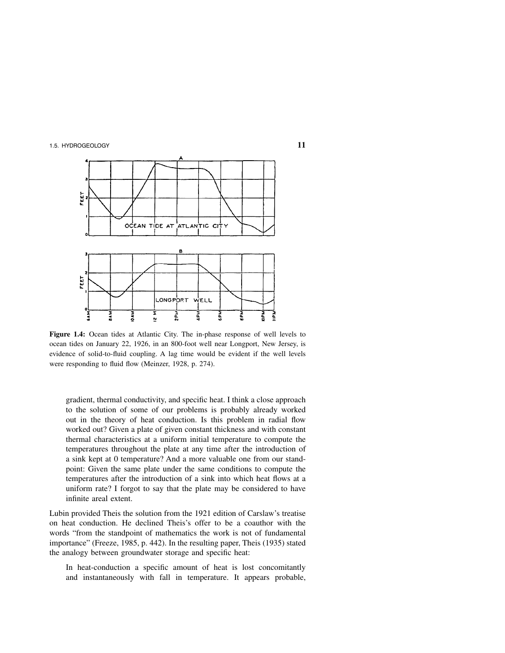

**Figure 1.4:** Ocean tides at Atlantic City. The in-phase response of well levels to ocean tides on January 22, 1926, in an 800-foot well near Longport, New Jersey, is evidence of solid-to-fluid coupling. A lag time would be evident if the well levels were responding to fluid flow (Meinzer, 1928, p. 274).

gradient, thermal conductivity, and specific heat. I think a close approach to the solution of some of our problems is probably already worked out in the theory of heat conduction. Is this problem in radial flow worked out? Given a plate of given constant thickness and with constant thermal characteristics at a uniform initial temperature to compute the temperatures throughout the plate at any time after the introduction of a sink kept at 0 temperature? And a more valuable one from our standpoint: Given the same plate under the same conditions to compute the temperatures after the introduction of a sink into which heat flows at a uniform rate? I forgot to say that the plate may be considered to have infinite areal extent.

Lubin provided Theis the solution from the 1921 edition of Carslaw's treatise on heat conduction. He declined Theis's offer to be a coauthor with the words "from the standpoint of mathematics the work is not of fundamental importance" (Freeze, 1985, p. 442). In the resulting paper, Theis (1935) stated the analogy between groundwater storage and specific heat:

In heat-conduction a specific amount of heat is lost concomitantly and instantaneously with fall in temperature. It appears probable,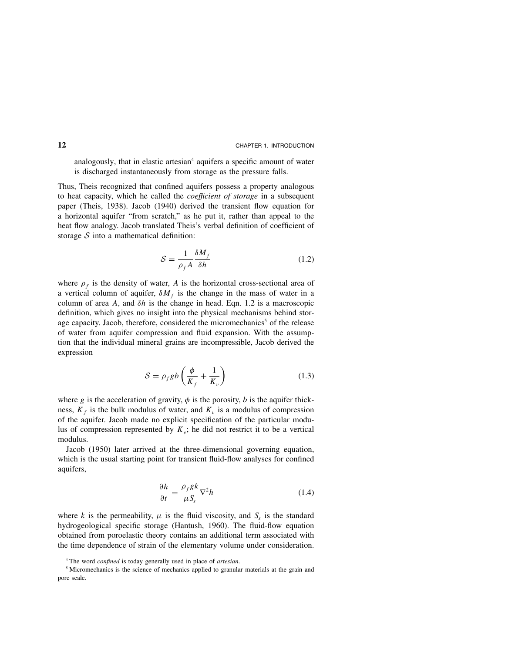analogously, that in elastic artesian<sup>4</sup> aquifers a specific amount of water is discharged instantaneously from storage as the pressure falls.

Thus, Theis recognized that confined aquifers possess a property analogous to heat capacity, which he called the *coefficient of storage* in a subsequent paper (Theis, 1938). Jacob (1940) derived the transient flow equation for a horizontal aquifer "from scratch," as he put it, rather than appeal to the heat flow analogy. Jacob translated Theis's verbal definition of coefficient of storage  $S$  into a mathematical definition:

$$
S = \frac{1}{\rho_f A} \frac{\delta M_f}{\delta h} \tag{1.2}
$$

where  $\rho_f$  is the density of water, A is the horizontal cross-sectional area of a vertical column of aquifer,  $\delta M_f$  is the change in the mass of water in a column of area A, and  $\delta h$  is the change in head. Eqn. 1.2 is a macroscopic definition, which gives no insight into the physical mechanisms behind storage capacity. Jacob, therefore, considered the micromechanics<sup>5</sup> of the release of water from aquifer compression and fluid expansion. With the assumption that the individual mineral grains are incompressible, Jacob derived the expression

$$
S = \rho_f g b \left( \frac{\phi}{K_f} + \frac{1}{K_v} \right) \tag{1.3}
$$

where g is the acceleration of gravity,  $\phi$  is the porosity, b is the aquifer thickness,  $K_f$  is the bulk modulus of water, and  $K_v$  is a modulus of compression of the aquifer. Jacob made no explicit specification of the particular modulus of compression represented by  $K_v$ ; he did not restrict it to be a vertical modulus.

Jacob (1950) later arrived at the three-dimensional governing equation, which is the usual starting point for transient fluid-flow analyses for confined aquifers,

$$
\frac{\partial h}{\partial t} = \frac{\rho_f g k}{\mu S_s} \nabla^2 h \tag{1.4}
$$

where k is the permeability,  $\mu$  is the fluid viscosity, and  $S_s$  is the standard hydrogeological specific storage (Hantush, 1960). The fluid-flow equation obtained from poroelastic theory contains an additional term associated with the time dependence of strain of the elementary volume under consideration.

<sup>&</sup>lt;sup>4</sup> The word *confined* is today generally used in place of *artesian*.

<sup>&</sup>lt;sup>5</sup> Micromechanics is the science of mechanics applied to granular materials at the grain and pore scale.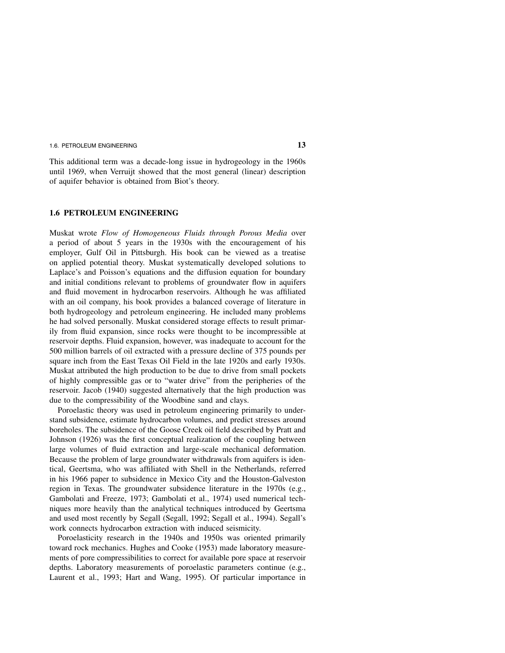This additional term was a decade-long issue in hydrogeology in the 1960s until 1969, when Verruijt showed that the most general (linear) description of aquifer behavior is obtained from Biot's theory.

#### **1.6 PETROLEUM ENGINEERING**

Muskat wrote Flow of Homogeneous Fluids through Porous Media over a period of about 5 years in the 1930s with the encouragement of his employer, Gulf Oil in Pittsburgh. His book can be viewed as a treatise on applied potential theory. Muskat systematically developed solutions to Laplace's and Poisson's equations and the diffusion equation for boundary and initial conditions relevant to problems of groundwater flow in aquifers and fluid movement in hydrocarbon reservoirs. Although he was affiliated with an oil company, his book provides a balanced coverage of literature in both hydrogeology and petroleum engineering. He included many problems he had solved personally. Muskat considered storage effects to result primarily from fluid expansion, since rocks were thought to be incompressible at reservoir depths. Fluid expansion, however, was inadequate to account for the 500 million barrels of oil extracted with a pressure decline of 375 pounds per square inch from the East Texas Oil Field in the late 1920s and early 1930s. Muskat attributed the high production to be due to drive from small pockets of highly compressible gas or to "water drive" from the peripheries of the reservoir. Jacob (1940) suggested alternatively that the high production was due to the compressibility of the Woodbine sand and clays.

Poroelastic theory was used in petroleum engineering primarily to understand subsidence, estimate hydrocarbon volumes, and predict stresses around boreholes. The subsidence of the Goose Creek oil field described by Pratt and Johnson (1926) was the first conceptual realization of the coupling between large volumes of fluid extraction and large-scale mechanical deformation. Because the problem of large groundwater withdrawals from aquifers is identical, Geertsma, who was affiliated with Shell in the Netherlands, referred in his 1966 paper to subsidence in Mexico City and the Houston-Galveston region in Texas. The groundwater subsidence literature in the 1970s (e.g., Gambolati and Freeze, 1973; Gambolati et al., 1974) used numerical techniques more heavily than the analytical techniques introduced by Geertsma and used most recently by Segall (Segall, 1992; Segall et al., 1994). Segall's work connects hydrocarbon extraction with induced seismicity.

Poroelasticity research in the 1940s and 1950s was oriented primarily toward rock mechanics. Hughes and Cooke (1953) made laboratory measurements of pore compressibilities to correct for available pore space at reservoir depths. Laboratory measurements of poroelastic parameters continue (e.g., Laurent et al., 1993; Hart and Wang, 1995). Of particular importance in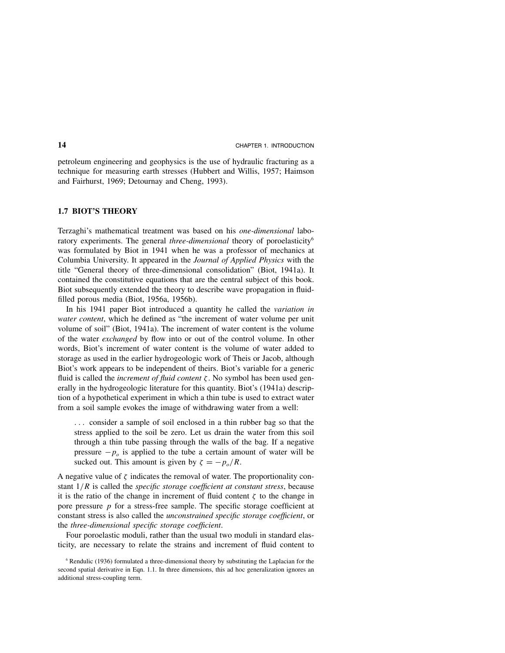petroleum engineering and geophysics is the use of hydraulic fracturing as a technique for measuring earth stresses (Hubbert and Willis, 1957; Haimson and Fairhurst, 1969; Detournay and Cheng, 1993).

### **1.7BIOT'S THEORY**

Terzaghi's mathematical treatment was based on his one-dimensional laboratory experiments. The general *three-dimensional* theory of poroelasticity<sup>6</sup> was formulated by Biot in 1941 when he was a professor of mechanics at Columbia University. It appeared in the Journal of Applied Physics with the title "General theory of three-dimensional consolidation" (Biot, 1941a). It contained the constitutive equations that are the central subject of this book. Biot subsequently extended the theory to describe wave propagation in fluidfilled porous media (Biot, 1956a, 1956b).

In his 1941 paper Biot introduced a quantity he called the variation in water content, which he defined as "the increment of water volume per unit volume of soil" (Biot, 1941a). The increment of water content is the volume of the water exchanged by flow into or out of the control volume. In other words, Biot's increment of water content is the volume of water added to storage as used in the earlier hydrogeologic work of Theis or Jacob, although Biot's work appears to be independent of theirs. Biot's variable for a generic fluid is called the *increment of fluid content*  $\zeta$ . No symbol has been used generally in the hydrogeologic literature for this quantity. Biot's (1941a) description of a hypothetical experiment in which a thin tube is used to extract water from a soil sample evokes the image of withdrawing water from a well:

... consider a sample of soil enclosed in a thin rubber bag so that the stress applied to the soil be zero. Let us drain the water from this soil through a thin tube passing through the walls of the bag. If a negative pressure  $-p_0$  is applied to the tube a certain amount of water will be sucked out. This amount is given by  $\zeta = -p_o/R$ .

A negative value of  $\zeta$  indicates the removal of water. The proportionality constant  $1/R$  is called the *specific storage coefficient at constant stress*, because it is the ratio of the change in increment of fluid content  $\zeta$  to the change in pore pressure  $p$  for a stress-free sample. The specific storage coefficient at constant stress is also called the unconstrained specific storage coefficient, or the three-dimensional specific storage coefficient.

Four poroelastic moduli, rather than the usual two moduli in standard elasticity, are necessary to relate the strains and increment of fluid content to

<sup>6</sup> Rendulic (1936) formulated a three-dimensional theory by substituting the Laplacian for the second spatial derivative in Eqn. 1.1. In three dimensions, this ad hoc generalization ignores an additional stress-coupling term.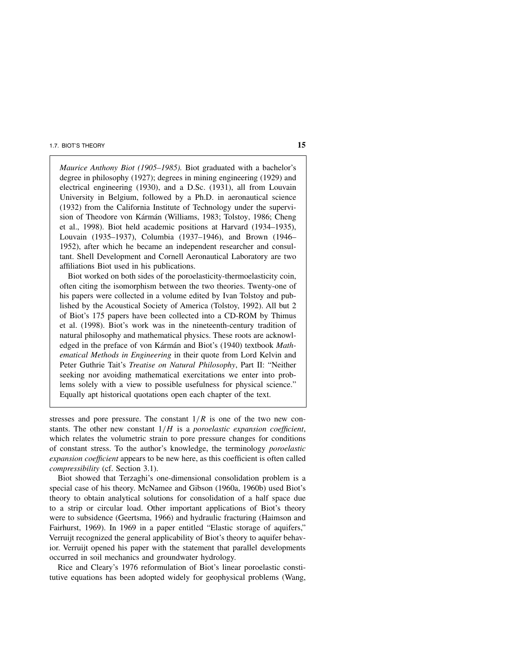Maurice Anthony Biot (1905–1985). Biot graduated with a bachelor's degree in philosophy (1927); degrees in mining engineering (1929) and electrical engineering (1930), and a D.Sc. (1931), all from Louvain University in Belgium, followed by a Ph.D. in aeronautical science (1932) from the California Institute of Technology under the supervision of Theodore von Kármán (Williams, 1983; Tolstoy, 1986; Cheng et al., 1998). Biot held academic positions at Harvard (1934–1935), Louvain (1935–1937), Columbia (1937–1946), and Brown (1946– 1952), after which he became an independent researcher and consultant. Shell Development and Cornell Aeronautical Laboratory are two affiliations Biot used in his publications.

Biot worked on both sides of the poroelasticity-thermoelasticity coin, often citing the isomorphism between the two theories. Twenty-one of his papers were collected in a volume edited by Ivan Tolstoy and published by the Acoustical Society of America (Tolstoy, 1992). All but 2 of Biot's 175 papers have been collected into a CD-ROM by Thimus et al. (1998). Biot's work was in the nineteenth-century tradition of natural philosophy and mathematical physics. These roots are acknowledged in the preface of von Kármán and Biot's (1940) textbook Mathematical Methods in Engineering in their quote from Lord Kelvin and Peter Guthrie Tait's Treatise on Natural Philosophy, Part II: "Neither seeking nor avoiding mathematical exercitations we enter into problems solely with a view to possible usefulness for physical science." Equally apt historical quotations open each chapter of the text.

stresses and pore pressure. The constant  $1/R$  is one of the two new constants. The other new constant  $1/H$  is a poroelastic expansion coefficient, which relates the volumetric strain to pore pressure changes for conditions of constant stress. To the author's knowledge, the terminology poroelastic expansion coefficient appears to be new here, as this coefficient is often called compressibility (cf. Section 3.1).

Biot showed that Terzaghi's one-dimensional consolidation problem is a special case of his theory. McNamee and Gibson (1960a, 1960b) used Biot's theory to obtain analytical solutions for consolidation of a half space due to a strip or circular load. Other important applications of Biot's theory were to subsidence (Geertsma, 1966) and hydraulic fracturing (Haimson and Fairhurst, 1969). In 1969 in a paper entitled "Elastic storage of aquifers," Verruijt recognized the general applicability of Biot's theory to aquifer behavior. Verruijt opened his paper with the statement that parallel developments occurred in soil mechanics and groundwater hydrology.

Rice and Cleary's 1976 reformulation of Biot's linear poroelastic constitutive equations has been adopted widely for geophysical problems (Wang,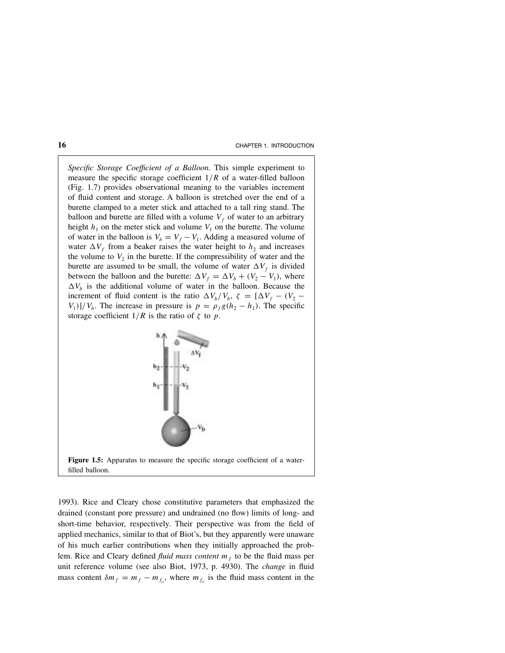Specific Storage Coefficient of a Balloon. This simple experiment to measure the specific storage coefficient  $1/R$  of a water-filled balloon (Fig. 1.7) provides observational meaning to the variables increment of fluid content and storage. A balloon is stretched over the end of a burette clamped to a meter stick and attached to a tall ring stand. The balloon and burette are filled with a volume  $V_f$  of water to an arbitrary height  $h_1$  on the meter stick and volume  $V_1$  on the burette. The volume of water in the balloon is  $V_b = V_f - V_1$ . Adding a measured volume of water  $\Delta V_f$  from a beaker raises the water height to  $h_2$  and increases the volume to  $V_2$  in the burette. If the compressibility of water and the burette are assumed to be small, the volume of water  $\Delta V_f$  is divided between the balloon and the burette:  $\Delta V_f = \Delta V_b + (V_2 - V_1)$ , where  $\Delta V_b$  is the additional volume of water in the balloon. Because the increment of fluid content is the ratio  $\Delta V_b/V_b$ ,  $\zeta = [\Delta V_f - (V_2 V_1$ ]/ $V_b$ . The increase in pressure is  $p = \rho_f g(h_2 - h_1)$ . The specific storage coefficient  $1/R$  is the ratio of  $\zeta$  to p.



**Figure 1.5:** Apparatus to measure the specific storage coefficient of a waterfilled balloon.

1993). Rice and Cleary chose constitutive parameters that emphasized the drained (constant pore pressure) and undrained (no flow) limits of long- and short-time behavior, respectively. Their perspective was from the field of applied mechanics, similar to that of Biot's, but they apparently were unaware of his much earlier contributions when they initially approached the problem. Rice and Cleary defined *fluid mass content m<sub>f</sub>* to be the fluid mass per unit reference volume (see also Biot, 1973, p. 4930). The change in fluid mass content  $\delta m_f = m_f - m_{f_o}$ , where  $m_{f_o}$  is the fluid mass content in the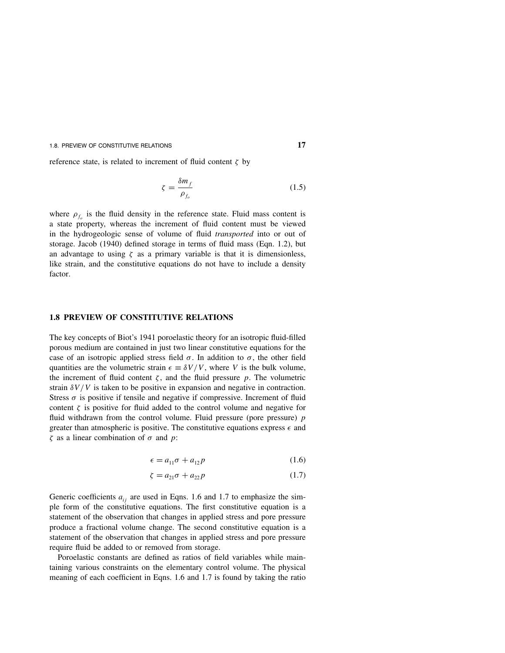reference state, is related to increment of fluid content  $\zeta$  by

$$
\zeta = \frac{\delta m_f}{\rho_{f_o}}\tag{1.5}
$$

where  $\rho_f$  is the fluid density in the reference state. Fluid mass content is a state property, whereas the increment of fluid content must be viewed in the hydrogeologic sense of volume of fluid transported into or out of storage. Jacob (1940) defined storage in terms of fluid mass (Eqn. 1.2), but an advantage to using  $\zeta$  as a primary variable is that it is dimensionless, like strain, and the constitutive equations do not have to include a density factor.

#### **1.8 PREVIEW OF CONSTITUTIVE RELATIONS**

The key concepts of Biot's 1941 poroelastic theory for an isotropic fluid-filled porous medium are contained in just two linear constitutive equations for the case of an isotropic applied stress field  $\sigma$ . In addition to  $\sigma$ , the other field quantities are the volumetric strain  $\epsilon = \delta V/V$ , where V is the bulk volume, the increment of fluid content  $\zeta$ , and the fluid pressure p. The volumetric strain  $\delta V/V$  is taken to be positive in expansion and negative in contraction. Stress  $\sigma$  is positive if tensile and negative if compressive. Increment of fluid content  $\zeta$  is positive for fluid added to the control volume and negative for fluid withdrawn from the control volume. Fluid pressure (pore pressure)  $p$ greater than atmospheric is positive. The constitutive equations express  $\epsilon$  and ζ as a linear combination of σ and p:

$$
\epsilon = a_{11}\sigma + a_{12}p \tag{1.6}
$$

$$
\zeta = a_{21}\sigma + a_{22}p \tag{1.7}
$$

Generic coefficients  $a_{ij}$  are used in Eqns. 1.6 and 1.7 to emphasize the simple form of the constitutive equations. The first constitutive equation is a statement of the observation that changes in applied stress and pore pressure produce a fractional volume change. The second constitutive equation is a statement of the observation that changes in applied stress and pore pressure require fluid be added to or removed from storage.

Poroelastic constants are defined as ratios of field variables while maintaining various constraints on the elementary control volume. The physical meaning of each coefficient in Eqns. 1.6 and 1.7 is found by taking the ratio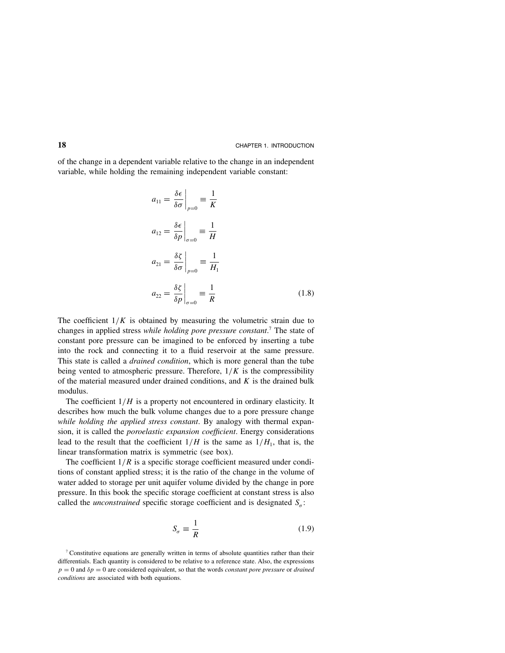of the change in a dependent variable relative to the change in an independent variable, while holding the remaining independent variable constant:

$$
a_{11} = \frac{\delta \epsilon}{\delta \sigma}\Big|_{p=0} \equiv \frac{1}{K}
$$
  
\n
$$
a_{12} = \frac{\delta \epsilon}{\delta p}\Big|_{\sigma=0} \equiv \frac{1}{H}
$$
  
\n
$$
a_{21} = \frac{\delta \zeta}{\delta \sigma}\Big|_{p=0} \equiv \frac{1}{H_1}
$$
  
\n
$$
a_{22} = \frac{\delta \zeta}{\delta p}\Big|_{\sigma=0} \equiv \frac{1}{R}
$$
\n(1.8)

The coefficient  $1/K$  is obtained by measuring the volumetric strain due to changes in applied stress while holding pore pressure constant.<sup>7</sup> The state of constant pore pressure can be imagined to be enforced by inserting a tube into the rock and connecting it to a fluid reservoir at the same pressure. This state is called a *drained condition*, which is more general than the tube being vented to atmospheric pressure. Therefore,  $1/K$  is the compressibility of the material measured under drained conditions, and  $K$  is the drained bulk modulus.

The coefficient  $1/H$  is a property not encountered in ordinary elasticity. It describes how much the bulk volume changes due to a pore pressure change while holding the applied stress constant. By analogy with thermal expansion, it is called the poroelastic expansion coefficient. Energy considerations lead to the result that the coefficient  $1/H$  is the same as  $1/H<sub>1</sub>$ , that is, the linear transformation matrix is symmetric (see box).

The coefficient  $1/R$  is a specific storage coefficient measured under conditions of constant applied stress; it is the ratio of the change in the volume of water added to storage per unit aquifer volume divided by the change in pore pressure. In this book the specific storage coefficient at constant stress is also called the *unconstrained* specific storage coefficient and is designated  $S_{\sigma}$ :

$$
S_{\sigma} \equiv \frac{1}{R} \tag{1.9}
$$

<sup>7</sup> Constitutive equations are generally written in terms of absolute quantities rather than their differentials. Each quantity is considered to be relative to a reference state. Also, the expressions  $p = 0$  and  $\delta p = 0$  are considered equivalent, so that the words *constant pore pressure* or *drained* conditions are associated with both equations.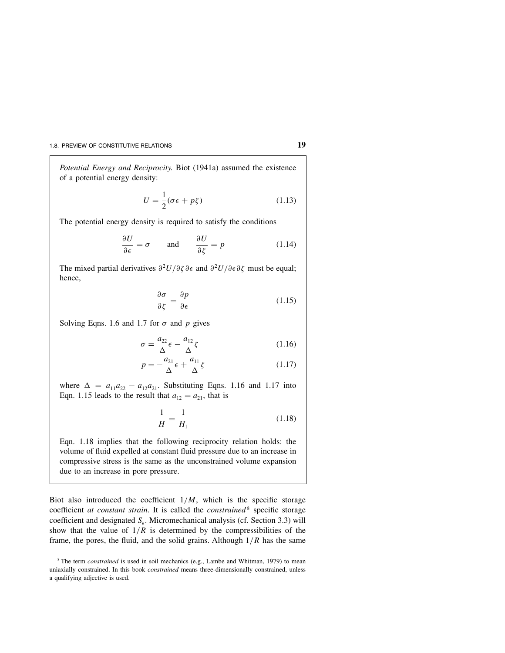Potential Energy and Reciprocity. Biot (1941a) assumed the existence of a potential energy density:

$$
U = \frac{1}{2}(\sigma \epsilon + p\zeta) \tag{1.13}
$$

The potential energy density is required to satisfy the conditions

$$
\frac{\partial U}{\partial \epsilon} = \sigma \qquad \text{and} \qquad \frac{\partial U}{\partial \zeta} = p \tag{1.14}
$$

The mixed partial derivatives  $\frac{\partial^2 U}{\partial \zeta} \frac{\partial \zeta}{\partial \zeta}$  and  $\frac{\partial^2 U}{\partial \zeta} \frac{\partial^2 U}{\partial \zeta}$  must be equal; hence,

$$
\frac{\partial \sigma}{\partial \zeta} = \frac{\partial p}{\partial \epsilon} \tag{1.15}
$$

Solving Eqns. 1.6 and 1.7 for  $\sigma$  and  $p$  gives

$$
\sigma = \frac{a_{22}}{\Delta} \epsilon - \frac{a_{12}}{\Delta} \zeta \tag{1.16}
$$

$$
p = -\frac{a_{21}}{\Delta} \epsilon + \frac{a_{11}}{\Delta} \zeta \tag{1.17}
$$

where  $\Delta = a_{11}a_{22} - a_{12}a_{21}$ . Substituting Eqns. 1.16 and 1.17 into Eqn. 1.15 leads to the result that  $a_{12} = a_{21}$ , that is

$$
\frac{1}{H} = \frac{1}{H_1}
$$
 (1.18)

Eqn. 1.18 implies that the following reciprocity relation holds: the volume of fluid expelled at constant fluid pressure due to an increase in compressive stress is the same as the unconstrained volume expansion due to an increase in pore pressure.

Biot also introduced the coefficient  $1/M$ , which is the specific storage coefficient at constant strain. It is called the constrained<sup>8</sup> specific storage coefficient and designated  $S_{\epsilon}$ . Micromechanical analysis (cf. Section 3.3) will show that the value of  $1/R$  is determined by the compressibilities of the frame, the pores, the fluid, and the solid grains. Although  $1/R$  has the same

 $8$ <sup>8</sup> The term *constrained* is used in soil mechanics (e.g., Lambe and Whitman, 1979) to mean uniaxially constrained. In this book *constrained* means three-dimensionally constrained, unless a qualifying adjective is used.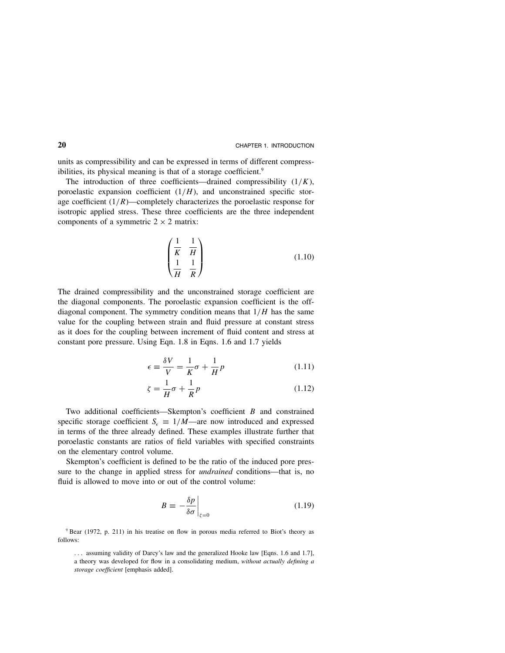units as compressibility and can be expressed in terms of different compressibilities, its physical meaning is that of a storage coefficient.<sup>9</sup>

The introduction of three coefficients—drained compressibility  $(1/K)$ , poroelastic expansion coefficient  $(1/H)$ , and unconstrained specific storage coefficient  $(1/R)$ —completely characterizes the poroelastic response for isotropic applied stress. These three coefficients are the three independent components of a symmetric  $2 \times 2$  matrix:

$$
\begin{pmatrix}\n\frac{1}{K} & \frac{1}{H} \\
\frac{1}{H} & \frac{1}{R}\n\end{pmatrix}
$$
\n(1.10)

The drained compressibility and the unconstrained storage coefficient are the diagonal components. The poroelastic expansion coefficient is the offdiagonal component. The symmetry condition means that  $1/H$  has the same value for the coupling between strain and fluid pressure at constant stress as it does for the coupling between increment of fluid content and stress at constant pore pressure. Using Eqn. 1.8 in Eqns. 1.6 and 1.7 yields

$$
\epsilon \equiv \frac{\delta V}{V} = \frac{1}{K}\sigma + \frac{1}{H}p \tag{1.11}
$$

$$
\zeta = \frac{1}{H}\sigma + \frac{1}{R}p\tag{1.12}
$$

Two additional coefficients—Skempton's coefficient B and constrained specific storage coefficient  $S_{\epsilon} = 1/M$ —are now introduced and expressed in terms of the three already defined. These examples illustrate further that poroelastic constants are ratios of field variables with specified constraints on the elementary control volume.

Skempton's coefficient is defined to be the ratio of the induced pore pressure to the change in applied stress for undrained conditions—that is, no fluid is allowed to move into or out of the control volume:

$$
B \equiv -\frac{\delta p}{\delta \sigma} \bigg|_{\zeta = 0} \tag{1.19}
$$

<sup>9</sup> Bear (1972, p. 211) in his treatise on flow in porous media referred to Biot's theory as follows:

... assuming validity of Darcy's law and the generalized Hooke law [Eqns. 1.6 and 1.7], a theory was developed for flow in a consolidating medium, without actually defining a storage coefficient [emphasis added].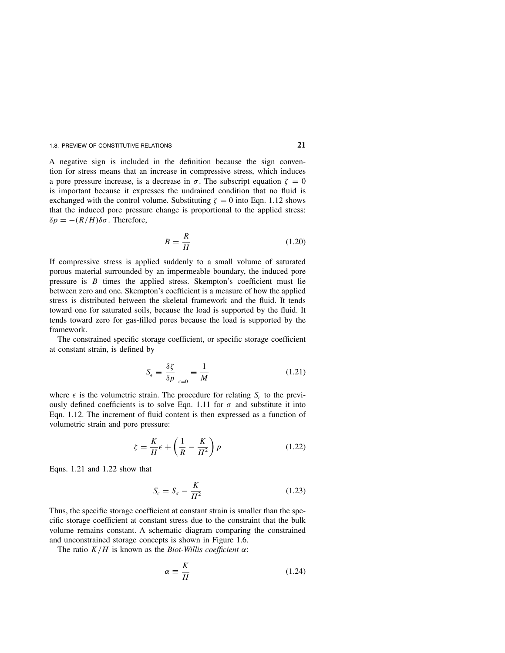A negative sign is included in the definition because the sign convention for stress means that an increase in compressive stress, which induces a pore pressure increase, is a decrease in  $\sigma$ . The subscript equation  $\zeta = 0$ is important because it expresses the undrained condition that no fluid is exchanged with the control volume. Substituting  $\zeta = 0$  into Eqn. 1.12 shows that the induced pore pressure change is proportional to the applied stress:  $δp = -(R/H)δσ$ . Therefore,

$$
B = \frac{R}{H} \tag{1.20}
$$

If compressive stress is applied suddenly to a small volume of saturated porous material surrounded by an impermeable boundary, the induced pore pressure is  $B$  times the applied stress. Skempton's coefficient must lie between zero and one. Skempton's coefficient is a measure of how the applied stress is distributed between the skeletal framework and the fluid. It tends toward one for saturated soils, because the load is supported by the fluid. It tends toward zero for gas-filled pores because the load is supported by the framework.

The constrained specific storage coefficient, or specific storage coefficient at constant strain, is defined by

$$
S_{\epsilon} \equiv \left. \frac{\delta \zeta}{\delta p} \right|_{\epsilon=0} \equiv \frac{1}{M} \tag{1.21}
$$

where  $\epsilon$  is the volumetric strain. The procedure for relating  $S_{\epsilon}$  to the previously defined coefficients is to solve Eqn. 1.11 for  $\sigma$  and substitute it into Eqn. 1.12. The increment of fluid content is then expressed as a function of volumetric strain and pore pressure:

$$
\zeta = \frac{K}{H} \epsilon + \left(\frac{1}{R} - \frac{K}{H^2}\right) p \tag{1.22}
$$

Eqns. 1.21 and 1.22 show that

$$
S_{\epsilon} = S_{\sigma} - \frac{K}{H^2} \tag{1.23}
$$

Thus, the specific storage coefficient at constant strain is smaller than the specific storage coefficient at constant stress due to the constraint that the bulk volume remains constant. A schematic diagram comparing the constrained and unconstrained storage concepts is shown in Figure 1.6.

The ratio  $K/H$  is known as the Biot-Willis coefficient  $\alpha$ :

$$
\alpha \equiv \frac{K}{H} \tag{1.24}
$$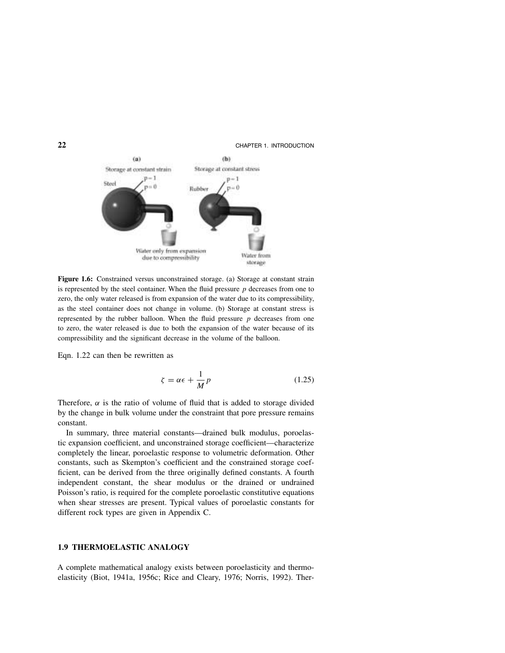

**Figure 1.6:** Constrained versus unconstrained storage. (a) Storage at constant strain is represented by the steel container. When the fluid pressure  $p$  decreases from one to zero, the only water released is from expansion of the water due to its compressibility, as the steel container does not change in volume. (b) Storage at constant stress is represented by the rubber balloon. When the fluid pressure  $p$  decreases from one to zero, the water released is due to both the expansion of the water because of its compressibility and the significant decrease in the volume of the balloon.

Eqn. 1.22 can then be rewritten as

$$
\zeta = \alpha \epsilon + \frac{1}{M} p \tag{1.25}
$$

Therefore,  $\alpha$  is the ratio of volume of fluid that is added to storage divided by the change in bulk volume under the constraint that pore pressure remains constant.

In summary, three material constants—drained bulk modulus, poroelastic expansion coefficient, and unconstrained storage coefficient—characterize completely the linear, poroelastic response to volumetric deformation. Other constants, such as Skempton's coefficient and the constrained storage coefficient, can be derived from the three originally defined constants. A fourth independent constant, the shear modulus or the drained or undrained Poisson's ratio, is required for the complete poroelastic constitutive equations when shear stresses are present. Typical values of poroelastic constants for different rock types are given in Appendix C.

### **1.9 THERMOELASTIC ANALOGY**

A complete mathematical analogy exists between poroelasticity and thermoelasticity (Biot, 1941a, 1956c; Rice and Cleary, 1976; Norris, 1992). Ther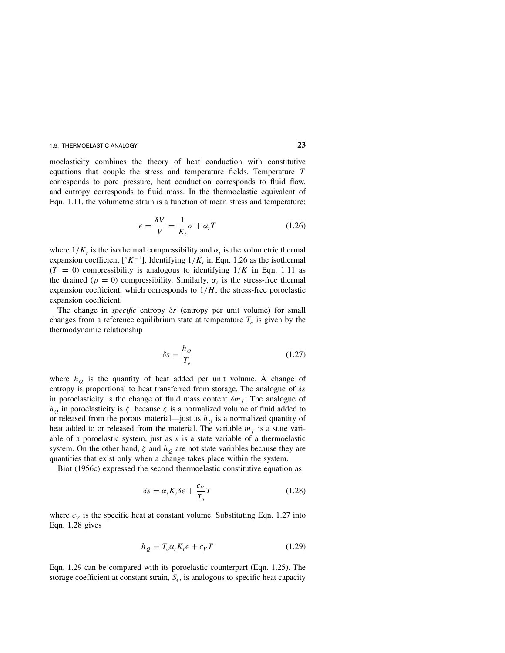moelasticity combines the theory of heat conduction with constitutive equations that couple the stress and temperature fields. Temperature T corresponds to pore pressure, heat conduction corresponds to fluid flow, and entropy corresponds to fluid mass. In the thermoelastic equivalent of Eqn. 1.11, the volumetric strain is a function of mean stress and temperature:

$$
\epsilon = \frac{\delta V}{V} = \frac{1}{K_t} \sigma + \alpha_t T \tag{1.26}
$$

where  $1/K_t$  is the isothermal compressibility and  $\alpha_t$  is the volumetric thermal expansion coefficient [ $\kappa^{-1}$ ]. Identifying  $1/K$ , in Eqn. 1.26 as the isothermal  $(T = 0)$  compressibility is analogous to identifying  $1/K$  in Eqn. 1.11 as the drained ( $p = 0$ ) compressibility. Similarly,  $\alpha<sub>t</sub>$  is the stress-free thermal expansion coefficient, which corresponds to  $1/H$ , the stress-free poroelastic expansion coefficient.

The change in *specific* entropy  $\delta s$  (entropy per unit volume) for small changes from a reference equilibrium state at temperature  $T<sub>o</sub>$  is given by the thermodynamic relationship

$$
\delta s = \frac{h_Q}{T_o} \tag{1.27}
$$

where  $h<sub>o</sub>$  is the quantity of heat added per unit volume. A change of entropy is proportional to heat transferred from storage. The analogue of  $\delta s$ in poroelasticity is the change of fluid mass content  $\delta m_f$ . The analogue of  $h<sub>o</sub>$  in poroelasticity is  $\zeta$ , because  $\zeta$  is a normalized volume of fluid added to or released from the porous material—just as  $h<sub>O</sub>$  is a normalized quantity of heat added to or released from the material. The variable  $m<sub>f</sub>$  is a state variable of a poroelastic system, just as  $s$  is a state variable of a thermoelastic system. On the other hand,  $\zeta$  and  $h<sub>O</sub>$  are not state variables because they are quantities that exist only when a change takes place within the system.

Biot (1956c) expressed the second thermoelastic constitutive equation as

$$
\delta s = \alpha_t K_t \delta \epsilon + \frac{c_V}{T_o} T \tag{1.28}
$$

where  $c_V$  is the specific heat at constant volume. Substituting Eqn. 1.27 into Eqn. 1.28 gives

$$
h_Q = T_o \alpha_t K_t \epsilon + c_V T \tag{1.29}
$$

Eqn. 1.29 can be compared with its poroelastic counterpart (Eqn. 1.25). The storage coefficient at constant strain,  $S_{\epsilon}$ , is analogous to specific heat capacity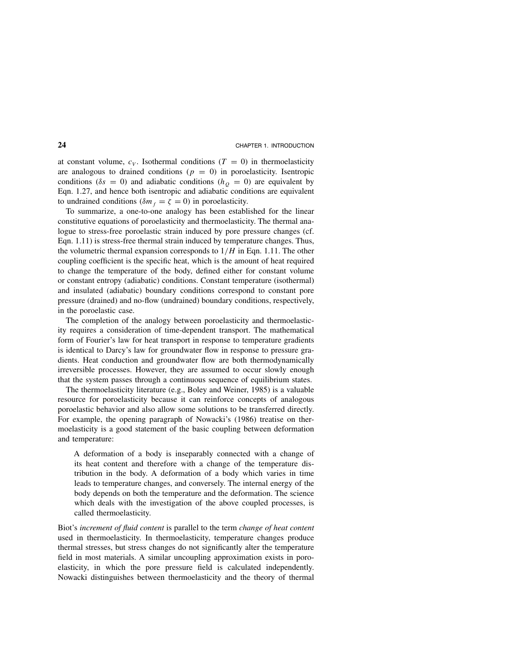at constant volume,  $c_V$ . Isothermal conditions ( $T = 0$ ) in thermoelasticity are analogous to drained conditions ( $p = 0$ ) in poroelasticity. Isentropic conditions ( $\delta s = 0$ ) and adiabatic conditions ( $h<sub>O</sub> = 0$ ) are equivalent by Eqn. 1.27, and hence both isentropic and adiabatic conditions are equivalent to undrained conditions ( $\delta m_f = \zeta = 0$ ) in poroelasticity.

To summarize, a one-to-one analogy has been established for the linear constitutive equations of poroelasticity and thermoelasticity. The thermal analogue to stress-free poroelastic strain induced by pore pressure changes (cf. Eqn. 1.11) is stress-free thermal strain induced by temperature changes. Thus, the volumetric thermal expansion corresponds to  $1/H$  in Eqn. 1.11. The other coupling coefficient is the specific heat, which is the amount of heat required to change the temperature of the body, defined either for constant volume or constant entropy (adiabatic) conditions. Constant temperature (isothermal) and insulated (adiabatic) boundary conditions correspond to constant pore pressure (drained) and no-flow (undrained) boundary conditions, respectively, in the poroelastic case.

The completion of the analogy between poroelasticity and thermoelasticity requires a consideration of time-dependent transport. The mathematical form of Fourier's law for heat transport in response to temperature gradients is identical to Darcy's law for groundwater flow in response to pressure gradients. Heat conduction and groundwater flow are both thermodynamically irreversible processes. However, they are assumed to occur slowly enough that the system passes through a continuous sequence of equilibrium states.

The thermoelasticity literature (e.g., Boley and Weiner, 1985) is a valuable resource for poroelasticity because it can reinforce concepts of analogous poroelastic behavior and also allow some solutions to be transferred directly. For example, the opening paragraph of Nowacki's (1986) treatise on thermoelasticity is a good statement of the basic coupling between deformation and temperature:

A deformation of a body is inseparably connected with a change of its heat content and therefore with a change of the temperature distribution in the body. A deformation of a body which varies in time leads to temperature changes, and conversely. The internal energy of the body depends on both the temperature and the deformation. The science which deals with the investigation of the above coupled processes, is called thermoelasticity.

Biot's increment of fluid content is parallel to the term change of heat content used in thermoelasticity. In thermoelasticity, temperature changes produce thermal stresses, but stress changes do not significantly alter the temperature field in most materials. A similar uncoupling approximation exists in poroelasticity, in which the pore pressure field is calculated independently. Nowacki distinguishes between thermoelasticity and the theory of thermal